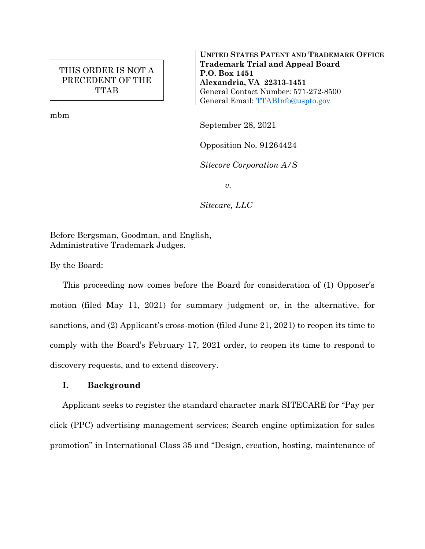# THIS ORDER IS NOT A PRECEDENT OF THE TTAB

mbm

**UNITED STATES PATENT AND TRADEMARK OFFICE Trademark Trial and Appeal Board P.O. Box 1451 Alexandria, VA 22313-1451** General Contact Number: 571-272-8500 General Email: [TTABInfo@uspto.gov](mailto:TTABInfo@uspto.gov)

September 28, 2021

Opposition No. 91264424

*Sitecore Corporation A/S*

*v.*

*Sitecare, LLC*

Before Bergsman, Goodman, and English, Administrative Trademark Judges.

By the Board:

This proceeding now comes before the Board for consideration of (1) Opposer's motion (filed May 11, 2021) for summary judgment or, in the alternative, for sanctions, and (2) Applicant's cross-motion (filed June 21, 2021) to reopen its time to comply with the Board's February 17, 2021 order, to reopen its time to respond to discovery requests, and to extend discovery.

### **I. Background**

Applicant seeks to register the standard character mark SITECARE for "Pay per click (PPC) advertising management services; Search engine optimization for sales promotion" in International Class 35 and "Design, creation, hosting, maintenance of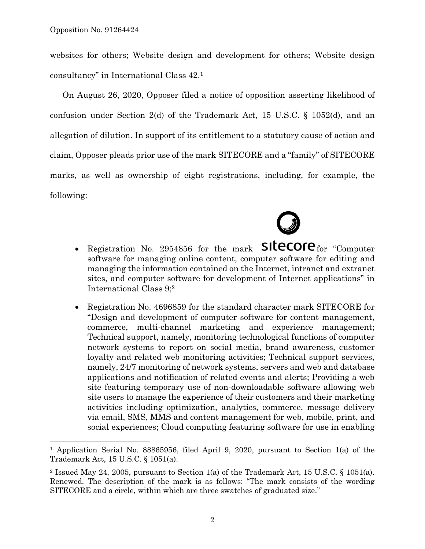$\overline{a}$ 

websites for others; Website design and development for others; Website design consultancy" in International Class 42.<sup>1</sup>

On August 26, 2020, Opposer filed a notice of opposition asserting likelihood of confusion under Section 2(d) of the Trademark Act, 15 U.S.C. § 1052(d), and an allegation of dilution. In support of its entitlement to a statutory cause of action and claim, Opposer pleads prior use of the mark SITECORE and a "family" of SITECORE marks, as well as ownership of eight registrations, including, for example, the following:



- Registration No. 2954856 for the mark  $SIECOIC$  for "Computer software for managing online content, computer software for editing and managing the information contained on the Internet, intranet and extranet sites, and computer software for development of Internet applications" in International Class 9;<sup>2</sup>
- Registration No. 4696859 for the standard character mark SITECORE for "Design and development of computer software for content management, commerce, multi-channel marketing and experience management; Technical support, namely, monitoring technological functions of computer network systems to report on social media, brand awareness, customer loyalty and related web monitoring activities; Technical support services, namely, 24/7 monitoring of network systems, servers and web and database applications and notification of related events and alerts; Providing a web site featuring temporary use of non-downloadable software allowing web site users to manage the experience of their customers and their marketing activities including optimization, analytics, commerce, message delivery via email, SMS, MMS and content management for web, mobile, print, and social experiences; Cloud computing featuring software for use in enabling

<sup>1</sup> Application Serial No. 88865956, filed April 9, 2020, pursuant to Section 1(a) of the Trademark Act, 15 U.S.C. § 1051(a).

<sup>2</sup> Issued May 24, 2005, pursuant to Section 1(a) of the Trademark Act, 15 U.S.C. § 1051(a). Renewed. The description of the mark is as follows: "The mark consists of the wording SITECORE and a circle, within which are three swatches of graduated size."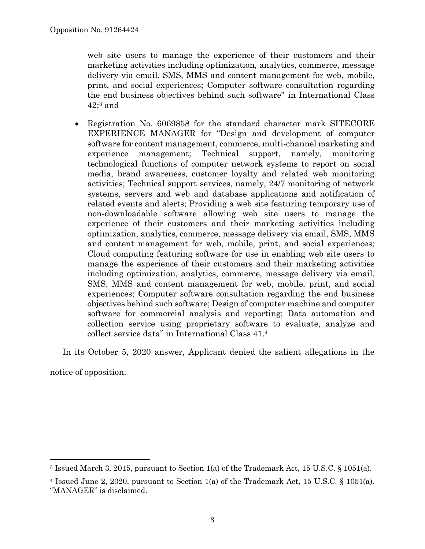web site users to manage the experience of their customers and their marketing activities including optimization, analytics, commerce, message delivery via email, SMS, MMS and content management for web, mobile, print, and social experiences; Computer software consultation regarding the end business objectives behind such software" in International Class  $42;3$  and

 Registration No. 6069858 for the standard character mark SITECORE EXPERIENCE MANAGER for "Design and development of computer software for content management, commerce, multi-channel marketing and experience management; Technical support, namely, monitoring technological functions of computer network systems to report on social media, brand awareness, customer loyalty and related web monitoring activities; Technical support services, namely, 24/7 monitoring of network systems, servers and web and database applications and notification of related events and alerts; Providing a web site featuring temporary use of non-downloadable software allowing web site users to manage the experience of their customers and their marketing activities including optimization, analytics, commerce, message delivery via email, SMS, MMS and content management for web, mobile, print, and social experiences; Cloud computing featuring software for use in enabling web site users to manage the experience of their customers and their marketing activities including optimization, analytics, commerce, message delivery via email, SMS, MMS and content management for web, mobile, print, and social experiences; Computer software consultation regarding the end business objectives behind such software; Design of computer machine and computer software for commercial analysis and reporting; Data automation and collection service using proprietary software to evaluate, analyze and collect service data" in International Class 41.<sup>4</sup>

In its October 5, 2020 answer, Applicant denied the salient allegations in the

notice of opposition.

l

<sup>3</sup> Issued March 3, 2015, pursuant to Section 1(a) of the Trademark Act, 15 U.S.C. § 1051(a).

<sup>4</sup> Issued June 2, 2020, pursuant to Section 1(a) of the Trademark Act, 15 U.S.C. § 1051(a). "MANAGER" is disclaimed.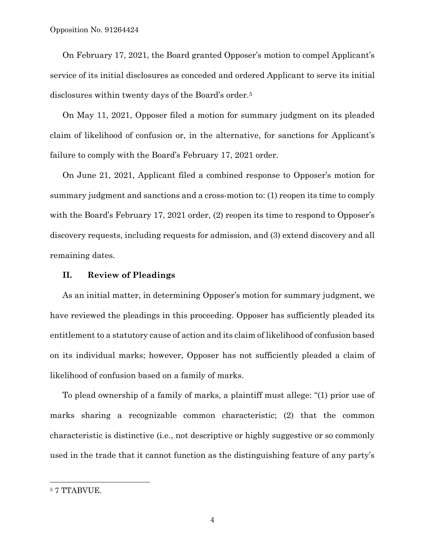On February 17, 2021, the Board granted Opposer's motion to compel Applicant's service of its initial disclosures as conceded and ordered Applicant to serve its initial disclosures within twenty days of the Board's order.<sup>5</sup>

On May 11, 2021, Opposer filed a motion for summary judgment on its pleaded claim of likelihood of confusion or, in the alternative, for sanctions for Applicant's failure to comply with the Board's February 17, 2021 order.

On June 21, 2021, Applicant filed a combined response to Opposer's motion for summary judgment and sanctions and a cross-motion to: (1) reopen its time to comply with the Board's February 17, 2021 order, (2) reopen its time to respond to Opposer's discovery requests, including requests for admission, and (3) extend discovery and all remaining dates.

#### **II. Review of Pleadings**

As an initial matter, in determining Opposer's motion for summary judgment, we have reviewed the pleadings in this proceeding. Opposer has sufficiently pleaded its entitlement to a statutory cause of action and its claim of likelihood of confusion based on its individual marks; however, Opposer has not sufficiently pleaded a claim of likelihood of confusion based on a family of marks.

To plead ownership of a family of marks, a plaintiff must allege: "(1) prior use of marks sharing a recognizable common characteristic; (2) that the common characteristic is distinctive (i.e., not descriptive or highly suggestive or so commonly used in the trade that it cannot function as the distinguishing feature of any party's

 $\overline{a}$ 

<sup>5</sup> 7 TTABVUE.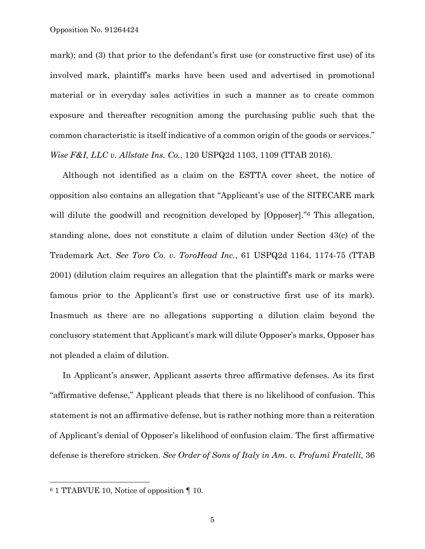mark); and (3) that prior to the defendant's first use (or constructive first use) of its involved mark, plaintiff's marks have been used and advertised in promotional material or in everyday sales activities in such a manner as to create common exposure and thereafter recognition among the purchasing public such that the common characteristic is itself indicative of a common origin of the goods or services." *Wise F&I, LLC v. Allstate Ins. Co.*, 120 USPQ2d 1103, 1109 (TTAB 2016).

Although not identified as a claim on the ESTTA cover sheet, the notice of opposition also contains an allegation that "Applicant's use of the SITECARE mark will dilute the goodwill and recognition developed by [Opposer]."<sup>6</sup> This allegation, standing alone, does not constitute a claim of dilution under Section 43(c) of the Trademark Act. *See Toro Co. v. ToroHead Inc.*, 61 USPQ2d 1164, 1174-75 (TTAB 2001) (dilution claim requires an allegation that the plaintiff's mark or marks were famous prior to the Applicant's first use or constructive first use of its mark). Inasmuch as there are no allegations supporting a dilution claim beyond the conclusory statement that Applicant's mark will dilute Opposer's marks, Opposer has not pleaded a claim of dilution.

In Applicant's answer, Applicant asserts three affirmative defenses. As its first "affirmative defense," Applicant pleads that there is no likelihood of confusion. This statement is not an affirmative defense, but is rather nothing more than a reiteration of Applicant's denial of Opposer's likelihood of confusion claim. The first affirmative defense is therefore stricken. *See Order of Sons of Italy in Am. v. Profumi Fratelli,* 36

 $\overline{a}$ 

<sup>6</sup> 1 TTABVUE 10, Notice of opposition ¶ 10.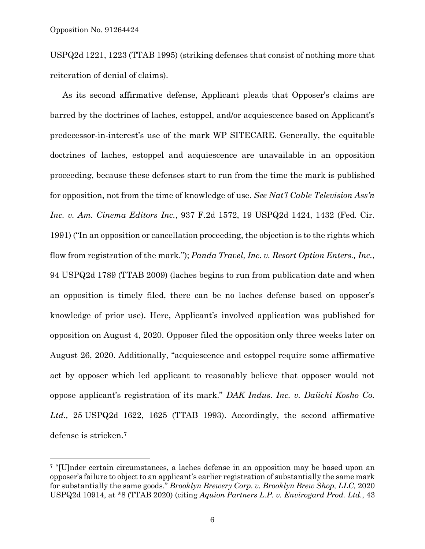l

USPQ2d 1221, 1223 (TTAB 1995) (striking defenses that consist of nothing more that reiteration of denial of claims).

As its second affirmative defense, Applicant pleads that Opposer's claims are barred by the doctrines of laches, estoppel, and/or acquiescence based on Applicant's predecessor-in-interest's use of the mark WP SITECARE. Generally, the equitable doctrines of laches, estoppel and acquiescence are unavailable in an opposition proceeding, because these defenses start to run from the time the mark is published for opposition, not from the time of knowledge of use. *See Nat'l Cable Television Ass'n Inc. v. Am. Cinema Editors Inc.*, 937 F.2d 1572, 19 USPQ2d 1424, 1432 (Fed. Cir. 1991) ("In an opposition or cancellation proceeding, the objection is to the rights which flow from registration of the mark."); *Panda Travel, Inc. v. Resort Option Enters., Inc.*, 94 USPQ2d 1789 (TTAB 2009) (laches begins to run from publication date and when an opposition is timely filed, there can be no laches defense based on opposer's knowledge of prior use). Here, Applicant's involved application was published for opposition on August 4, 2020. Opposer filed the opposition only three weeks later on August 26, 2020. Additionally, "acquiescence and estoppel require some affirmative act by opposer which led applicant to reasonably believe that opposer would not oppose applicant's registration of its mark." *DAK Indus. Inc. v. Daiichi Kosho Co. Ltd.,* 25 USPQ2d 1622, 1625 (TTAB 1993). Accordingly, the second affirmative defense is stricken. 7

<sup>7</sup> "[U]nder certain circumstances, a laches defense in an opposition may be based upon an opposer's failure to object to an applicant's earlier registration of substantially the same mark for substantially the same goods." *Brooklyn Brewery Corp. v. Brooklyn Brew Shop, LLC,* 2020 USPQ2d 10914, at \*8 (TTAB 2020) (citing *Aquion Partners L.P. v. Envirogard Prod. Ltd.*, 43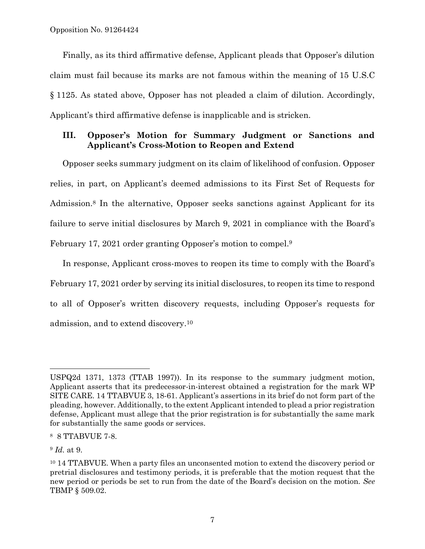Finally, as its third affirmative defense, Applicant pleads that Opposer's dilution claim must fail because its marks are not famous within the meaning of 15 U.S.C § 1125. As stated above, Opposer has not pleaded a claim of dilution. Accordingly, Applicant's third affirmative defense is inapplicable and is stricken.

# **III. Opposer's Motion for Summary Judgment or Sanctions and Applicant's Cross-Motion to Reopen and Extend**

Opposer seeks summary judgment on its claim of likelihood of confusion. Opposer relies, in part, on Applicant's deemed admissions to its First Set of Requests for Admission.<sup>8</sup> In the alternative, Opposer seeks sanctions against Applicant for its failure to serve initial disclosures by March 9, 2021 in compliance with the Board's February 17, 2021 order granting Opposer's motion to compel.<sup>9</sup>

In response, Applicant cross-moves to reopen its time to comply with the Board's February 17, 2021 order by serving its initial disclosures, to reopen its time to respond to all of Opposer's written discovery requests, including Opposer's requests for admission, and to extend discovery. 10

 $\overline{a}$ 

USPQ2d 1371, 1373 (TTAB 1997)). In its response to the summary judgment motion, Applicant asserts that its predecessor-in-interest obtained a registration for the mark WP SITE CARE. 14 TTABVUE 3, 18-61. Applicant's assertions in its brief do not form part of the pleading, however. Additionally, to the extent Applicant intended to plead a prior registration defense, Applicant must allege that the prior registration is for substantially the same mark for substantially the same goods or services.

<sup>8</sup> 8 TTABVUE 7-8.

<sup>9</sup> *Id.* at 9.

<sup>10</sup> 14 TTABVUE. When a party files an unconsented motion to extend the discovery period or pretrial disclosures and testimony periods, it is preferable that the motion request that the new period or periods be set to run from the date of the Board's decision on the motion. *See*  TBMP § 509.02.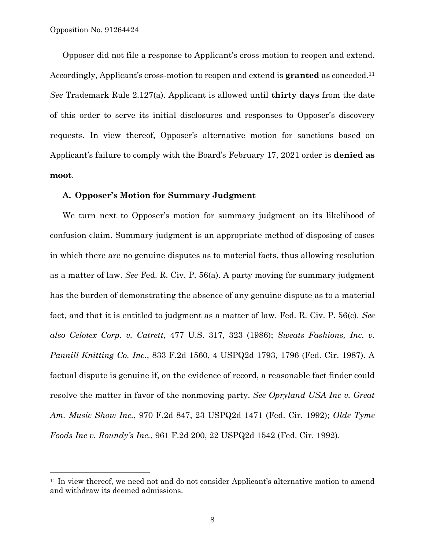l

Opposer did not file a response to Applicant's cross-motion to reopen and extend. Accordingly, Applicant's cross-motion to reopen and extend is **granted** as conceded.<sup>11</sup> *See* Trademark Rule 2.127(a). Applicant is allowed until **thirty days** from the date of this order to serve its initial disclosures and responses to Opposer's discovery requests. In view thereof, Opposer's alternative motion for sanctions based on Applicant's failure to comply with the Board's February 17, 2021 order is **denied as moot**.

### **A. Opposer's Motion for Summary Judgment**

We turn next to Opposer's motion for summary judgment on its likelihood of confusion claim. Summary judgment is an appropriate method of disposing of cases in which there are no genuine disputes as to material facts, thus allowing resolution as a matter of law. *See* Fed. R. Civ. P. 56(a). A party moving for summary judgment has the burden of demonstrating the absence of any genuine dispute as to a material fact, and that it is entitled to judgment as a matter of law. Fed. R. Civ. P. 56(c). *See also Celotex Corp. v. Catrett*, 477 U.S. 317, 323 (1986); *Sweats Fashions, Inc. v. Pannill Knitting Co. Inc.*, 833 F.2d 1560, 4 USPQ2d 1793, 1796 (Fed. Cir. 1987). A factual dispute is genuine if, on the evidence of record, a reasonable fact finder could resolve the matter in favor of the nonmoving party. *See Opryland USA Inc v. Great Am. Music Show Inc.*, 970 F.2d 847, 23 USPQ2d 1471 (Fed. Cir. 1992); *Olde Tyme Foods Inc v. Roundy's Inc.*, 961 F.2d 200, 22 USPQ2d 1542 (Fed. Cir. 1992).

<sup>&</sup>lt;sup>11</sup> In view thereof, we need not and do not consider Applicant's alternative motion to amend and withdraw its deemed admissions.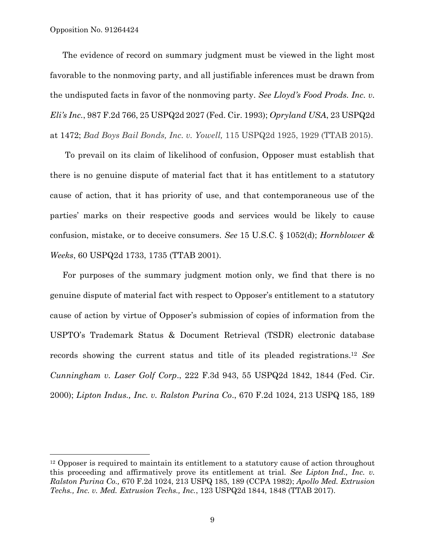Opposition No. 91264424

l

The evidence of record on summary judgment must be viewed in the light most favorable to the nonmoving party, and all justifiable inferences must be drawn from the undisputed facts in favor of the nonmoving party. *See Lloyd's Food Prods. Inc. v. Eli's Inc.*, 987 F.2d 766, 25 USPQ2d 2027 (Fed. Cir. 1993); *Opryland USA*, 23 USPQ2d at 1472; *Bad Boys Bail Bonds, Inc. v. Yowell,* 115 USPQ2d 1925, 1929 (TTAB 2015).

To prevail on its claim of likelihood of confusion, Opposer must establish that there is no genuine dispute of material fact that it has entitlement to a statutory cause of action, that it has priority of use, and that contemporaneous use of the parties' marks on their respective goods and services would be likely to cause confusion, mistake, or to deceive consumers. *See* 15 U.S.C. § 1052(d); *Hornblower & Weeks*, 60 USPQ2d 1733, 1735 (TTAB 2001).

For purposes of the summary judgment motion only, we find that there is no genuine dispute of material fact with respect to Opposer's entitlement to a statutory cause of action by virtue of Opposer's submission of copies of information from the USPTO's Trademark Status & Document Retrieval (TSDR) electronic database records showing the current status and title of its pleaded registrations. <sup>12</sup> *See Cunningham v. Laser Golf Corp*., 222 F.3d 943, 55 USPQ2d 1842, 1844 (Fed. Cir. 2000); *Lipton Indus., Inc. v. Ralston Purina Co*., 670 F.2d 1024, 213 USPQ 185, 189

<sup>&</sup>lt;sup>12</sup> Opposer is required to maintain its entitlement to a statutory cause of action throughout this proceeding and affirmatively prove its entitlement at trial. *See Lipton [Ind., Inc. v.](https://advance.lexis.com/search/?pdmfid=1000516&crid=f8efc742-ab78-4933-913f-4b89759df07f&pdsearchdisplaytext=Lipton+Industries%2C+Inc.+v.+Ralston+Purina+Co.%2C+670+F.2d+1024%2C+213+USPQ+185%2C+189+(CCPA+1982)&pdcustomsearchcontext=%2Fshared%2Fcontentstore%2Fadministrative-materials&pdcustomfilter=custom%3APHg6cSB2ZXJzaW9uPSIxIiB4bWxuczp4PSJodHRwOi8vc2VydmljZXMubGV4aXNuZXhpcy5jb20vc2hhcmVkL3htbHNjaGVtYS9zZWFyY2hyZXF1ZXN0LzEvIj48eDphbmQtcXVlcnk%2BPHg6b3ItcXVlcnk%2BPHg6cGhyYXNlLXF1ZXJ5IGZpZWxkPSJjaXRlZGVmIiBleGFjdE1hdGNoPSJ0cnVlIiBxdW90ZWQ9InRydWUiIGV4YWN0U3RyaW5nTWF0Y2g9InRydWUiPiM2NzAjMyMwMDAyMTMjMDAwMTg1IzwveDpwaHJhc2UtcXVlcnk%2BPC94Om9yLXF1ZXJ5Pjx4Om5vdC1xdWVyeT48eDpwaHJhc2UtcXVlcnkgZmllbGQ9InBpZCIgZXhhY3RNYXRjaD0idHJ1ZSIgcXVvdGVkPSJ0cnVlIiBleGFjdFN0cmluZ01hdGNoPSJ0cnVlIj51cm46Y29udGVudEl0ZW06NTEzWS00RjMwLTAxS1ItQjRSRy0wMDAwMC0wMDwveDpwaHJhc2UtcXVlcnk%2BPC94Om5vdC1xdWVyeT48L3g6YW5kLXF1ZXJ5PjwveDpxPg&pdtypeofsearch=tablecase&ecomp=73h9k&prid=0deb1c55-ff78-4632-8c3b-11b9c723c0d8)  Ralston Purina Co.,* [670 F.2d 1024, 213 USPQ 185, 189 \(CCPA 1982\);](https://advance.lexis.com/search/?pdmfid=1000516&crid=f8efc742-ab78-4933-913f-4b89759df07f&pdsearchdisplaytext=Lipton+Industries%2C+Inc.+v.+Ralston+Purina+Co.%2C+670+F.2d+1024%2C+213+USPQ+185%2C+189+(CCPA+1982)&pdcustomsearchcontext=%2Fshared%2Fcontentstore%2Fadministrative-materials&pdcustomfilter=custom%3APHg6cSB2ZXJzaW9uPSIxIiB4bWxuczp4PSJodHRwOi8vc2VydmljZXMubGV4aXNuZXhpcy5jb20vc2hhcmVkL3htbHNjaGVtYS9zZWFyY2hyZXF1ZXN0LzEvIj48eDphbmQtcXVlcnk%2BPHg6b3ItcXVlcnk%2BPHg6cGhyYXNlLXF1ZXJ5IGZpZWxkPSJjaXRlZGVmIiBleGFjdE1hdGNoPSJ0cnVlIiBxdW90ZWQ9InRydWUiIGV4YWN0U3RyaW5nTWF0Y2g9InRydWUiPiM2NzAjMyMwMDAyMTMjMDAwMTg1IzwveDpwaHJhc2UtcXVlcnk%2BPC94Om9yLXF1ZXJ5Pjx4Om5vdC1xdWVyeT48eDpwaHJhc2UtcXVlcnkgZmllbGQ9InBpZCIgZXhhY3RNYXRjaD0idHJ1ZSIgcXVvdGVkPSJ0cnVlIiBleGFjdFN0cmluZ01hdGNoPSJ0cnVlIj51cm46Y29udGVudEl0ZW06NTEzWS00RjMwLTAxS1ItQjRSRy0wMDAwMC0wMDwveDpwaHJhc2UtcXVlcnk%2BPC94Om5vdC1xdWVyeT48L3g6YW5kLXF1ZXJ5PjwveDpxPg&pdtypeofsearch=tablecase&ecomp=73h9k&prid=0deb1c55-ff78-4632-8c3b-11b9c723c0d8) *Apollo Med. Extrusion Techs., Inc. v. Med. Extrusion Techs., Inc.*, 123 USPQ2d 1844, 1848 (TTAB 2017).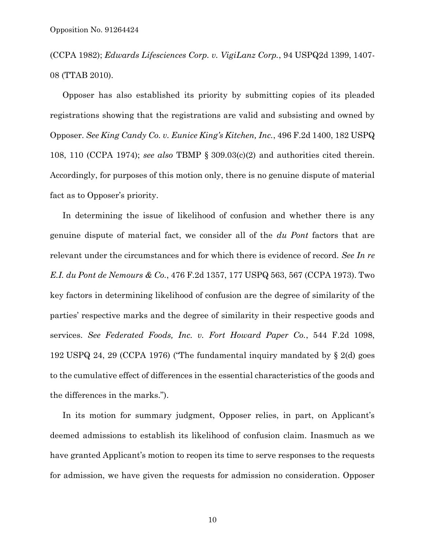(CCPA 1982); *Edwards Lifesciences Corp. v. VigiLanz Corp.*, 94 USPQ2d 1399, 1407- 08 (TTAB 2010).

Opposer has also established its priority by submitting copies of its pleaded registrations showing that the registrations are valid and subsisting and owned by Opposer. *See King Candy Co. v. Eunice King's Kitchen, Inc.*, 496 F.2d 1400, 182 USPQ 108, 110 (CCPA 1974); *see also* TBMP § 309.03(c)(2) and authorities cited therein. Accordingly, for purposes of this motion only, there is no genuine dispute of material fact as to Opposer's priority.

In determining the issue of likelihood of confusion and whether there is any genuine dispute of material fact, we consider all of the *du Pont* factors that are relevant under the circumstances and for which there is evidence of record. *See In re E.I. du Pont de Nemours & Co.*, 476 F.2d 1357, 177 USPQ 563, 567 (CCPA 1973). Two key factors in determining likelihood of confusion are the degree of similarity of the parties' respective marks and the degree of similarity in their respective goods and services. *See Federated Foods, Inc. v. Fort Howard Paper Co.*, 544 F.2d 1098, 192 USPQ 24, 29 (CCPA 1976) ("The fundamental inquiry mandated by § 2(d) goes to the cumulative effect of differences in the essential characteristics of the goods and the differences in the marks.").

In its motion for summary judgment, Opposer relies, in part, on Applicant's deemed admissions to establish its likelihood of confusion claim. Inasmuch as we have granted Applicant's motion to reopen its time to serve responses to the requests for admission, we have given the requests for admission no consideration. Opposer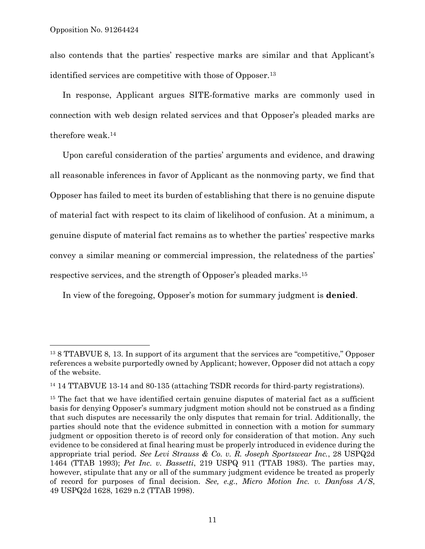l

also contends that the parties' respective marks are similar and that Applicant's identified services are competitive with those of Opposer.<sup>13</sup>

In response, Applicant argues SITE-formative marks are commonly used in connection with web design related services and that Opposer's pleaded marks are therefore weak.<sup>14</sup>

Upon careful consideration of the parties' arguments and evidence, and drawing all reasonable inferences in favor of Applicant as the nonmoving party, we find that Opposer has failed to meet its burden of establishing that there is no genuine dispute of material fact with respect to its claim of likelihood of confusion. At a minimum, a genuine dispute of material fact remains as to whether the parties' respective marks convey a similar meaning or commercial impression, the relatedness of the parties' respective services, and the strength of Opposer's pleaded marks. 15

In view of the foregoing, Opposer's motion for summary judgment is **denied**.

<sup>13</sup> 8 TTABVUE 8, 13. In support of its argument that the services are "competitive," Opposer references a website purportedly owned by Applicant; however, Opposer did not attach a copy of the website.

<sup>14</sup> 14 TTABVUE 13-14 and 80-135 (attaching TSDR records for third-party registrations).

<sup>&</sup>lt;sup>15</sup> The fact that we have identified certain genuine disputes of material fact as a sufficient basis for denying Opposer's summary judgment motion should not be construed as a finding that such disputes are necessarily the only disputes that remain for trial. Additionally, the parties should note that the evidence submitted in connection with a motion for summary judgment or opposition thereto is of record only for consideration of that motion. Any such evidence to be considered at final hearing must be properly introduced in evidence during the appropriate trial period. *See Levi Strauss & Co. v. R. Joseph Sportswear Inc.*, 28 USPQ2d 1464 (TTAB 1993); *Pet Inc. v. Bassetti*, 219 USPQ 911 (TTAB 1983). The parties may, however, stipulate that any or all of the summary judgment evidence be treated as properly of record for purposes of final decision. *See, e.g*., *Micro Motion Inc. v. Danfoss A/S*, 49 USPQ2d 1628, 1629 n.2 (TTAB 1998).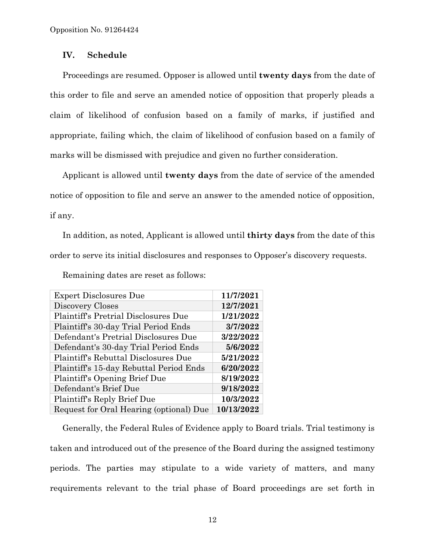## **IV. Schedule**

Proceedings are resumed. Opposer is allowed until **twenty days** from the date of this order to file and serve an amended notice of opposition that properly pleads a claim of likelihood of confusion based on a family of marks, if justified and appropriate, failing which, the claim of likelihood of confusion based on a family of marks will be dismissed with prejudice and given no further consideration.

Applicant is allowed until **twenty days** from the date of service of the amended notice of opposition to file and serve an answer to the amended notice of opposition, if any.

In addition, as noted, Applicant is allowed until **thirty days** from the date of this order to serve its initial disclosures and responses to Opposer's discovery requests.

| <b>Expert Disclosures Due</b>           | 11/7/2021  |
|-----------------------------------------|------------|
| Discovery Closes                        | 12/7/2021  |
| Plaintiff's Pretrial Disclosures Due    | 1/21/2022  |
| Plaintiff's 30-day Trial Period Ends    | 3/7/2022   |
| Defendant's Pretrial Disclosures Due    | 3/22/2022  |
| Defendant's 30-day Trial Period Ends    | 5/6/2022   |
| Plaintiff's Rebuttal Disclosures Due    | 5/21/2022  |
| Plaintiff's 15-day Rebuttal Period Ends | 6/20/2022  |
| Plaintiff's Opening Brief Due           | 8/19/2022  |
| Defendant's Brief Due                   | 9/18/2022  |
| Plaintiff's Reply Brief Due             | 10/3/2022  |
| Request for Oral Hearing (optional) Due | 10/13/2022 |

Remaining dates are reset as follows:

Generally, the Federal Rules of Evidence apply to Board trials. Trial testimony is taken and introduced out of the presence of the Board during the assigned testimony periods. The parties may stipulate to a wide variety of matters, and many requirements relevant to the trial phase of Board proceedings are set forth in